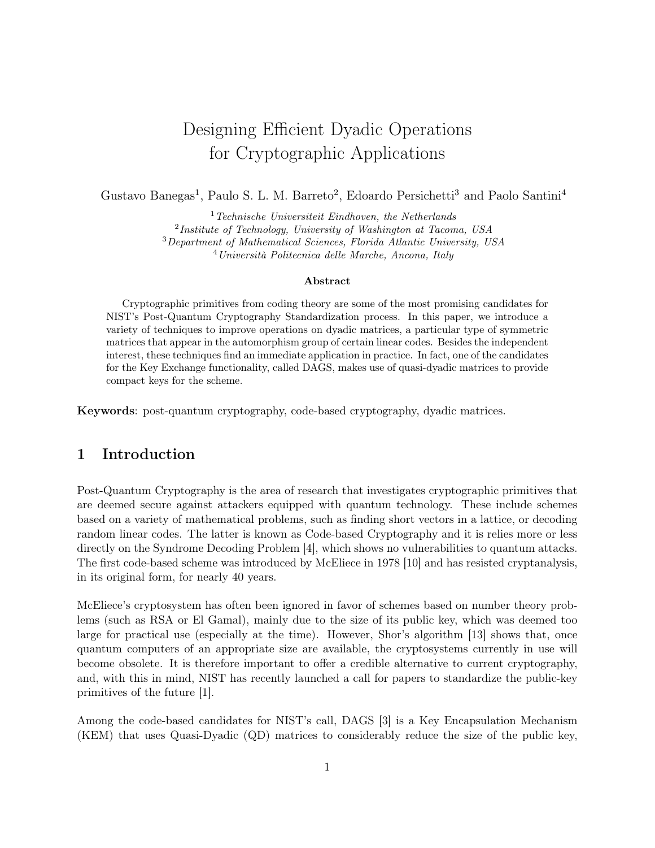# Designing Efficient Dyadic Operations for Cryptographic Applications

Gustavo Banegas<sup>1</sup>, Paulo S. L. M. Barreto<sup>2</sup>, Edoardo Persichetti<sup>3</sup> and Paolo Santini<sup>4</sup>

 $1$ <sup>T</sup>echnische Universiteit Eindhoven, the Netherlands 2 Institute of Technology, University of Washington at Tacoma, USA

<sup>3</sup>Department of Mathematical Sciences, Florida Atlantic University, USA

<sup>4</sup>Università Politecnica delle Marche, Ancona, Italy

#### Abstract

Cryptographic primitives from coding theory are some of the most promising candidates for NIST's Post-Quantum Cryptography Standardization process. In this paper, we introduce a variety of techniques to improve operations on dyadic matrices, a particular type of symmetric matrices that appear in the automorphism group of certain linear codes. Besides the independent interest, these techniques find an immediate application in practice. In fact, one of the candidates for the Key Exchange functionality, called DAGS, makes use of quasi-dyadic matrices to provide compact keys for the scheme.

Keywords: post-quantum cryptography, code-based cryptography, dyadic matrices.

## 1 Introduction

Post-Quantum Cryptography is the area of research that investigates cryptographic primitives that are deemed secure against attackers equipped with quantum technology. These include schemes based on a variety of mathematical problems, such as finding short vectors in a lattice, or decoding random linear codes. The latter is known as Code-based Cryptography and it is relies more or less directly on the Syndrome Decoding Problem [4], which shows no vulnerabilities to quantum attacks. The first code-based scheme was introduced by McEliece in 1978 [10] and has resisted cryptanalysis, in its original form, for nearly 40 years.

McEliece's cryptosystem has often been ignored in favor of schemes based on number theory problems (such as RSA or El Gamal), mainly due to the size of its public key, which was deemed too large for practical use (especially at the time). However, Shor's algorithm [13] shows that, once quantum computers of an appropriate size are available, the cryptosystems currently in use will become obsolete. It is therefore important to offer a credible alternative to current cryptography, and, with this in mind, NIST has recently launched a call for papers to standardize the public-key primitives of the future [1].

Among the code-based candidates for NIST's call, DAGS [3] is a Key Encapsulation Mechanism (KEM) that uses Quasi-Dyadic (QD) matrices to considerably reduce the size of the public key,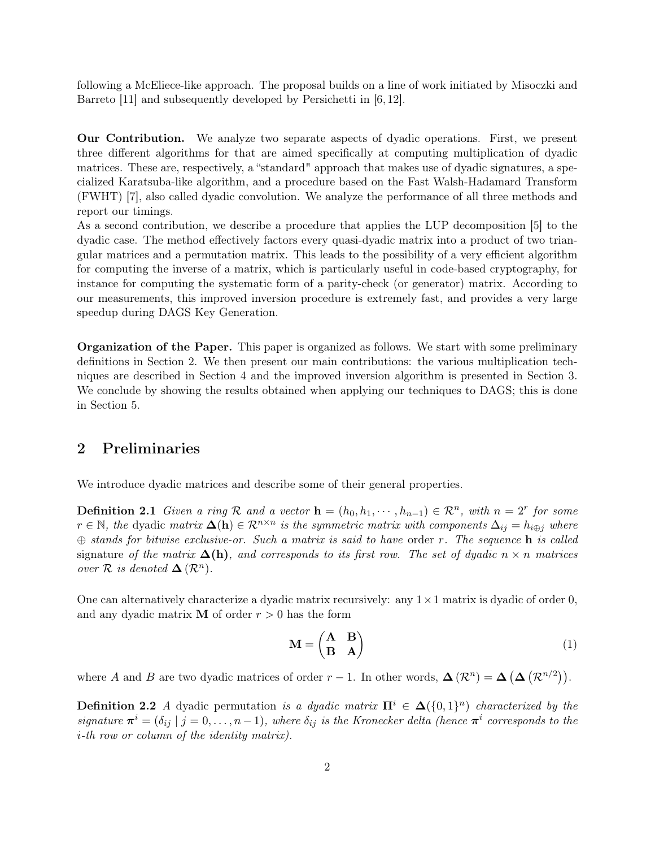following a McEliece-like approach. The proposal builds on a line of work initiated by Misoczki and Barreto [11] and subsequently developed by Persichetti in [6, 12].

Our Contribution. We analyze two separate aspects of dyadic operations. First, we present three different algorithms for that are aimed specifically at computing multiplication of dyadic matrices. These are, respectively, a "standard" approach that makes use of dyadic signatures, a specialized Karatsuba-like algorithm, and a procedure based on the Fast Walsh-Hadamard Transform (FWHT) [7], also called dyadic convolution. We analyze the performance of all three methods and report our timings.

As a second contribution, we describe a procedure that applies the LUP decomposition [5] to the dyadic case. The method effectively factors every quasi-dyadic matrix into a product of two triangular matrices and a permutation matrix. This leads to the possibility of a very efficient algorithm for computing the inverse of a matrix, which is particularly useful in code-based cryptography, for instance for computing the systematic form of a parity-check (or generator) matrix. According to our measurements, this improved inversion procedure is extremely fast, and provides a very large speedup during DAGS Key Generation.

Organization of the Paper. This paper is organized as follows. We start with some preliminary definitions in Section 2. We then present our main contributions: the various multiplication techniques are described in Section 4 and the improved inversion algorithm is presented in Section 3. We conclude by showing the results obtained when applying our techniques to DAGS; this is done in Section 5.

### 2 Preliminaries

We introduce dyadic matrices and describe some of their general properties.

**Definition 2.1** Given a ring R and a vector  $\mathbf{h} = (h_0, h_1, \dots, h_{n-1}) \in \mathbb{R}^n$ , with  $n = 2^r$  for some  $r \in \mathbb{N}$ , the dyadic matrix  $\Delta(h) \in \mathcal{R}^{n \times n}$  is the symmetric matrix with components  $\Delta_{ij} = h_{i \oplus j}$  where  $\oplus$  stands for bitwise exclusive-or. Such a matrix is said to have order r. The sequence **h** is called signature of the matrix  $\Delta(h)$ , and corresponds to its first row. The set of dyadic  $n \times n$  matrices over  $\mathcal R$  is denoted  $\Delta(\mathcal R^n)$ .

One can alternatively characterize a dyadic matrix recursively: any  $1 \times 1$  matrix is dyadic of order 0, and any dyadic matrix **M** of order  $r > 0$  has the form

$$
\mathbf{M} = \begin{pmatrix} \mathbf{A} & \mathbf{B} \\ \mathbf{B} & \mathbf{A} \end{pmatrix} \tag{1}
$$

where A and B are two dyadic matrices of order  $r-1$ . In other words,  $\Delta(\mathcal{R}^n) = \Delta(\Delta(\mathcal{R}^{n/2}))$ .

**Definition 2.2** A dyadic permutation is a dyadic matrix  $\Pi^i \in \Delta({0,1}^n)$  characterized by the signature  $\pi^i = (\delta_{ij} \mid j = 0, \ldots, n-1)$ , where  $\delta_{ij}$  is the Kronecker delta (hence  $\pi^i$  corresponds to the i-th row or column of the identity matrix).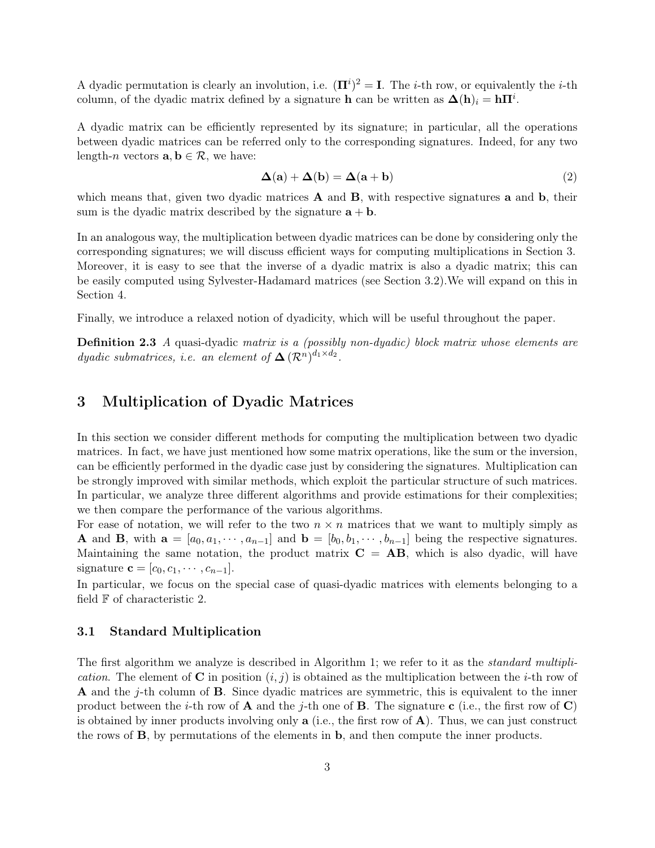A dyadic permutation is clearly an involution, i.e.  $(\mathbf{\Pi}^i)^2 = \mathbf{I}$ . The *i*-th row, or equivalently the *i*-th column, of the dyadic matrix defined by a signature **h** can be written as  $\mathbf{\Delta}(\mathbf{h})_i = \mathbf{h}\mathbf{\Pi}^i$ .

A dyadic matrix can be efficiently represented by its signature; in particular, all the operations between dyadic matrices can be referred only to the corresponding signatures. Indeed, for any two length-n vectors  $\mathbf{a}, \mathbf{b} \in \mathcal{R}$ , we have:

$$
\Delta(\mathbf{a}) + \Delta(\mathbf{b}) = \Delta(\mathbf{a} + \mathbf{b})
$$
\n(2)

which means that, given two dyadic matrices  $A$  and  $B$ , with respective signatures a and  $b$ , their sum is the dyadic matrix described by the signature  $\mathbf{a} + \mathbf{b}$ .

In an analogous way, the multiplication between dyadic matrices can be done by considering only the corresponding signatures; we will discuss efficient ways for computing multiplications in Section 3. Moreover, it is easy to see that the inverse of a dyadic matrix is also a dyadic matrix; this can be easily computed using Sylvester-Hadamard matrices (see Section 3.2).We will expand on this in Section 4.

Finally, we introduce a relaxed notion of dyadicity, which will be useful throughout the paper.

Definition 2.3 A quasi-dyadic matrix is a (possibly non-dyadic) block matrix whose elements are *dyadic submatrices, i.e. an element of*  $\Delta (\mathcal{R}^n)^{d_1 \times d_2}$ .

### 3 Multiplication of Dyadic Matrices

In this section we consider different methods for computing the multiplication between two dyadic matrices. In fact, we have just mentioned how some matrix operations, like the sum or the inversion, can be efficiently performed in the dyadic case just by considering the signatures. Multiplication can be strongly improved with similar methods, which exploit the particular structure of such matrices. In particular, we analyze three different algorithms and provide estimations for their complexities; we then compare the performance of the various algorithms.

For ease of notation, we will refer to the two  $n \times n$  matrices that we want to multiply simply as **A** and **B**, with  $\mathbf{a} = [a_0, a_1, \dots, a_{n-1}]$  and  $\mathbf{b} = [b_0, b_1, \dots, b_{n-1}]$  being the respective signatures. Maintaining the same notation, the product matrix  $C = AB$ , which is also dyadic, will have signature  $\mathbf{c} = [c_0, c_1, \cdots, c_{n-1}].$ 

In particular, we focus on the special case of quasi-dyadic matrices with elements belonging to a field  $\mathbb F$  of characteristic 2.

#### 3.1 Standard Multiplication

The first algorithm we analyze is described in Algorithm 1; we refer to it as the *standard multipli*cation. The element of **C** in position  $(i, j)$  is obtained as the multiplication between the *i*-th row of **A** and the *j*-th column of **B**. Since dyadic matrices are symmetric, this is equivalent to the inner product between the *i*-th row of **A** and the *j*-th one of **B**. The signature **c** (i.e., the first row of **C**) is obtained by inner products involving only  $a$  (i.e., the first row of  $A$ ). Thus, we can just construct the rows of B, by permutations of the elements in b, and then compute the inner products.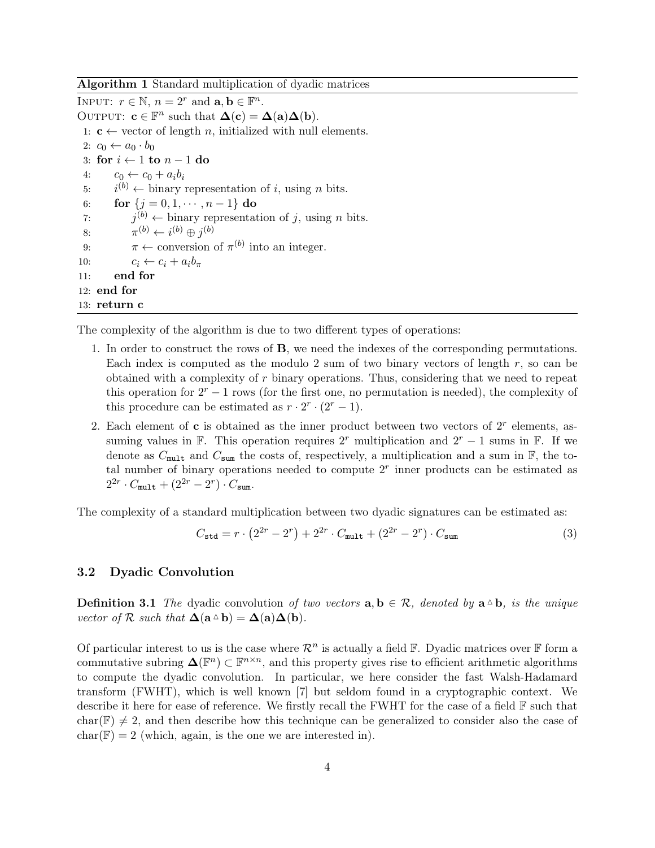Algorithm 1 Standard multiplication of dyadic matrices

INPUT:  $r \in \mathbb{N}$ ,  $n = 2^r$  and  $\mathbf{a}, \mathbf{b} \in \mathbb{F}^n$ . OUTPUT:  $\mathbf{c} \in \mathbb{F}^n$  such that  $\mathbf{\Delta}(\mathbf{c}) = \mathbf{\Delta}(\mathbf{a})\mathbf{\Delta}(\mathbf{b})$ . 1:  $c \leftarrow$  vector of length *n*, initialized with null elements. 2:  $c_0 \leftarrow a_0 \cdot b_0$ 3: for  $i \leftarrow 1$  to  $n-1$  do 4:  $c_0 \leftarrow c_0 + a_i b_i$  $5:$  $i^{(b)} \leftarrow$  binary representation of i, using n bits. 6: for  $\{j = 0, 1, \dots, n-1\}$  do  $7:$  $j^{(b)} \leftarrow$  binary representation of j, using n bits. 8:  $\pi^{(b)} \leftarrow i^{(b)} \oplus j^{(b)}$ 9:  $\pi \leftarrow$  conversion of  $\pi^{(b)}$  into an integer. 10:  $c_i \leftarrow c_i + a_i b_\pi$ 11: end for 12: end for 13: return c

The complexity of the algorithm is due to two different types of operations:

- 1. In order to construct the rows of B, we need the indexes of the corresponding permutations. Each index is computed as the modulo 2 sum of two binary vectors of length  $r$ , so can be obtained with a complexity of  $r$  binary operations. Thus, considering that we need to repeat this operation for  $2^r - 1$  rows (for the first one, no permutation is needed), the complexity of this procedure can be estimated as  $r \cdot 2^r \cdot (2^r - 1)$ .
- 2. Each element of  $\bf{c}$  is obtained as the inner product between two vectors of  $2^r$  elements, assuming values in  $\mathbb{F}$ . This operation requires  $2^r$  multiplication and  $2^r - 1$  sums in  $\mathbb{F}$ . If we denote as  $C_{\text{mult}}$  and  $C_{\text{sum}}$  the costs of, respectively, a multiplication and a sum in  $\mathbb{F}$ , the total number of binary operations needed to compute  $2<sup>r</sup>$  inner products can be estimated as  $2^{2r} \cdot C_{\text{mult}} + (2^{2r} - 2^r) \cdot C_{\text{sum}}.$

The complexity of a standard multiplication between two dyadic signatures can be estimated as:

$$
C_{\text{std}} = r \cdot (2^{2r} - 2^r) + 2^{2r} \cdot C_{\text{mult}} + (2^{2r} - 2^r) \cdot C_{\text{sum}} \tag{3}
$$

#### 3.2 Dyadic Convolution

**Definition 3.1** The dyadic convolution of two vectors  $\mathbf{a}, \mathbf{b} \in \mathcal{R}$ , denoted by  $\mathbf{a} \triangleq \mathbf{b}$ , is the unique vector of R such that  $\Delta(\mathbf{a} \triangle \mathbf{b}) = \Delta(\mathbf{a})\Delta(\mathbf{b}).$ 

Of particular interest to us is the case where  $\mathcal{R}^n$  is actually a field  $\mathbb{F}$ . Dyadic matrices over  $\mathbb{F}$  form a commutative subring  $\Delta(\mathbb{F}^n) \subset \mathbb{F}^{n \times n}$ , and this property gives rise to efficient arithmetic algorithms to compute the dyadic convolution. In particular, we here consider the fast Walsh-Hadamard transform (FWHT), which is well known [7] but seldom found in a cryptographic context. We describe it here for ease of reference. We firstly recall the FWHT for the case of a field F such that  $char(\mathbb{F}) \neq 2$ , and then describe how this technique can be generalized to consider also the case of  $char(\mathbb{F}) = 2$  (which, again, is the one we are interested in).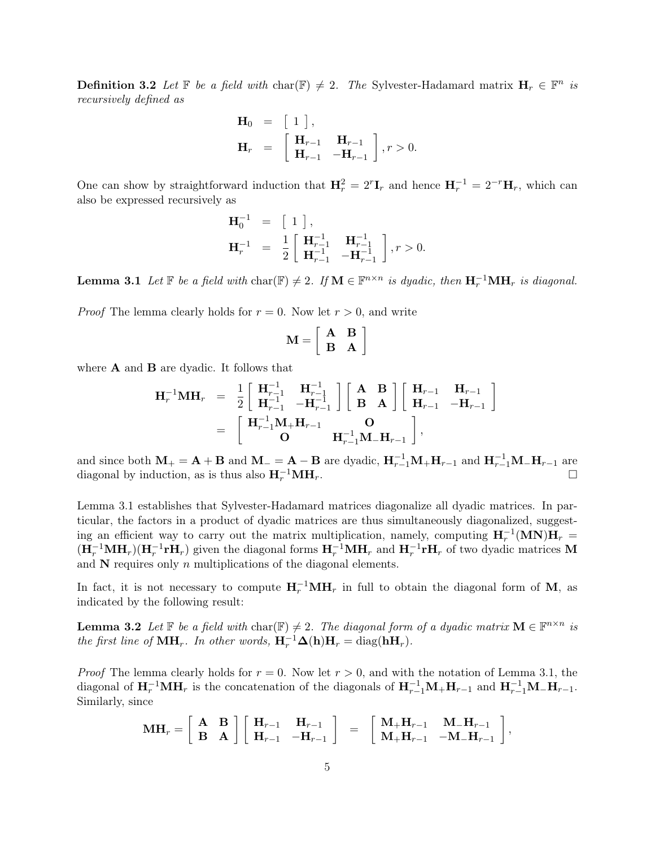**Definition 3.2** Let  $\mathbb{F}$  be a field with char( $\mathbb{F}$ )  $\neq$  2. The Sylvester-Hadamard matrix  $\mathbf{H}_r \in \mathbb{F}^n$  is recursively defined as

$$
\mathbf{H}_0 = [1], \n\mathbf{H}_r = [\mathbf{H}_{r-1} \mathbf{H}_{r-1}]_r, r > 0.
$$

One can show by straightforward induction that  $H_r^2 = 2^r \mathbf{I}_r$  and hence  $\mathbf{H}_r^{-1} = 2^{-r} \mathbf{H}_r$ , which can also be expressed recursively as

$$
\begin{array}{lll} \mathbf{H}_{0}^{-1} & = & \left[ \begin{array}{c} 1 \end{array} \right], \\ \mathbf{H}_{r}^{-1} & = & \frac{1}{2} \left[ \begin{array}{cc} \mathbf{H}_{r-1}^{-1} & \mathbf{H}_{r-1}^{-1} \\ \mathbf{H}_{r-1}^{-1} & -\mathbf{H}_{r-1}^{-1} \end{array} \right], r > 0. \end{array}
$$

**Lemma 3.1** Let  $\mathbb{F}$  be a field with char( $\mathbb{F}$ )  $\neq$  2. If  $\mathbf{M} \in \mathbb{F}^{n \times n}$  is dyadic, then  $\mathbf{H}_r^{-1} \mathbf{M} \mathbf{H}_r$  is diagonal.

*Proof* The lemma clearly holds for  $r = 0$ . Now let  $r > 0$ , and write

$$
\mathbf{M} = \left[ \begin{array}{cc} \mathbf{A} & \mathbf{B} \\ \mathbf{B} & \mathbf{A} \end{array} \right]
$$

where **A** and **B** are dyadic. It follows that

$$
\mathbf{H}_r^{-1} \mathbf{M} \mathbf{H}_r = \frac{1}{2} \begin{bmatrix} \mathbf{H}_{r-1}^{-1} & \mathbf{H}_{r-1}^{-1} \\ \mathbf{H}_{r-1}^{-1} & -\mathbf{H}_{r-1}^{-1} \end{bmatrix} \begin{bmatrix} \mathbf{A} & \mathbf{B} \\ \mathbf{B} & \mathbf{A} \end{bmatrix} \begin{bmatrix} \mathbf{H}_{r-1} & \mathbf{H}_{r-1} \\ \mathbf{H}_{r-1} & -\mathbf{H}_{r-1} \end{bmatrix}
$$
  
= 
$$
\begin{bmatrix} \mathbf{H}_{r-1}^{-1} \mathbf{M}_+ \mathbf{H}_{r-1} & \mathbf{O} \\ \mathbf{O} & \mathbf{H}_{r-1}^{-1} \mathbf{M}_- \mathbf{H}_{r-1} \end{bmatrix},
$$

and since both  $M_+ = A + B$  and  $M_- = A - B$  are dyadic,  $H_{r-1}^{-1}M_+H_{r-1}$  and  $H_{r-1}^{-1}M_-H_{r-1}$  are diagonal by induction, as is thus also  $H_r^{-1}MH_r$ .  $r^{-1}\mathbf{MH}_r.$ 

Lemma 3.1 establishes that Sylvester-Hadamard matrices diagonalize all dyadic matrices. In particular, the factors in a product of dyadic matrices are thus simultaneously diagonalized, suggesting an efficient way to carry out the matrix multiplication, namely, computing  $H_r^{-1}(MN)H_r =$  $(H_r^{-1}MH_r)(H_r^{-1}rH_r)$  given the diagonal forms  $H_r^{-1}MH_r$  and  $H_r^{-1}rH_r$  of two dyadic matrices M and  $N$  requires only n multiplications of the diagonal elements.

In fact, it is not necessary to compute  $H_r^{-1}MH_r$  in full to obtain the diagonal form of M, as indicated by the following result:

**Lemma 3.2** Let  $\mathbb{F}$  be a field with char( $\mathbb{F}$ )  $\neq$  2. The diagonal form of a dyadic matrix  $\mathbf{M} \in \mathbb{F}^{n \times n}$  is the first line of  $\textbf{MH}_r$ . In other words,  $\textbf{H}_r^{-1}\Delta(\textbf{h})\textbf{H}_r = \text{diag}(\textbf{hH}_r)$ .

*Proof* The lemma clearly holds for  $r = 0$ . Now let  $r > 0$ , and with the notation of Lemma 3.1, the diagonal of  $H_r^{-1}MH_r$  is the concatenation of the diagonals of  $H_{r-1}^{-1}M_+H_{r-1}$  and  $H_{r-1}^{-1}M_-H_{r-1}$ . Similarly, since

$$
\mathbf{M}\mathbf{H}_r = \left[ \begin{array}{cc} \mathbf{A} & \mathbf{B} \\ \mathbf{B} & \mathbf{A} \end{array} \right] \left[ \begin{array}{cc} \mathbf{H}_{r-1} & \mathbf{H}_{r-1} \\ \mathbf{H}_{r-1} & -\mathbf{H}_{r-1} \end{array} \right] = \left[ \begin{array}{cc} \mathbf{M}_+ \mathbf{H}_{r-1} & \mathbf{M}_- \mathbf{H}_{r-1} \\ \mathbf{M}_+ \mathbf{H}_{r-1} & -\mathbf{M}_- \mathbf{H}_{r-1} \end{array} \right],
$$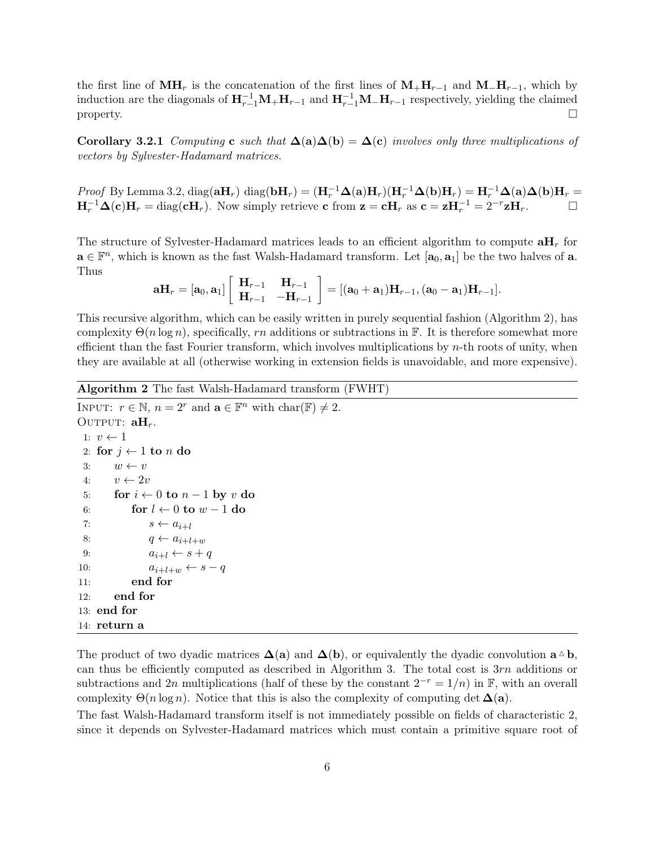the first line of  $\textbf{MH}_r$  is the concatenation of the first lines of  $\textbf{M}_+\textbf{H}_{r-1}$  and  $\textbf{M}_-\textbf{H}_{r-1}$ , which by induction are the diagonals of  $H_{r-1}^{-1}M_+H_{r-1}$  and  $H_{r-1}^{-1}M_-H_{r-1}$  respectively, yielding the claimed property.  $\square$ 

Corollary 3.2.1 Computing c such that  $\Delta(a)\Delta(b) = \Delta(c)$  involves only three multiplications of vectors by Sylvester-Hadamard matrices.

Proof By Lemma 3.2, diag( $aH_r$ ) diag( $bH_r$ ) =  $(H_r^{-1}\Delta(a)H_r)(H_r^{-1}\Delta(b)H_r) = H_r^{-1}\Delta(a)\Delta(b)H_r$  =  $H_r^{-1}\Delta(c)H_r = \text{diag}(cH_r)$ . Now simply retrieve c from  $z = cH_r$  as  $c = zH_r^{-1} = 2^{-r}zH_r$ .

The structure of Sylvester-Hadamard matrices leads to an efficient algorithm to compute  $\mathbf{a}\mathbf{H}_r$  for  $a \in \mathbb{F}^n$ , which is known as the fast Walsh-Hadamard transform. Let  $[a_0, a_1]$  be the two halves of a. Thus

$$
\mathbf{a} \mathbf{H}_r = [\mathbf{a}_0, \mathbf{a}_1] \left[ \begin{array}{cc} \mathbf{H}_{r-1} & \mathbf{H}_{r-1} \\ \mathbf{H}_{r-1} & -\mathbf{H}_{r-1} \end{array} \right] = [(\mathbf{a}_0 + \mathbf{a}_1) \mathbf{H}_{r-1}, (\mathbf{a}_0 - \mathbf{a}_1) \mathbf{H}_{r-1}].
$$

This recursive algorithm, which can be easily written in purely sequential fashion (Algorithm 2), has complexity  $\Theta(n \log n)$ , specifically, rn additions or subtractions in F. It is therefore somewhat more efficient than the fast Fourier transform, which involves multiplications by n-th roots of unity, when they are available at all (otherwise working in extension fields is unavoidable, and more expensive).

```
Algorithm 2 The fast Walsh-Hadamard transform (FWHT)
```

```
INPUT: r \in \mathbb{N}, n = 2^r and \mathbf{a} \in \mathbb{F}^n with \text{char}(\mathbb{F}) \neq 2.
OUTPUT: aH_r.
 1: v \leftarrow 12: for j \leftarrow 1 to n do
 3: w \leftarrow v4: v \leftarrow 2v5: for i \leftarrow 0 to n-1 by v do
 6: for l \leftarrow 0 to w - 1 do
 7: s \leftarrow a_{i+l}8: q \leftarrow a_{i+l+w}9: a_{i+l} \leftarrow s + q10: a_{i+l+w} \leftarrow s - q11: end for
12: end for
13: end for
14: return a
```
The product of two dyadic matrices  $\Delta(a)$  and  $\Delta(b)$ , or equivalently the dyadic convolution  $a \triangle b$ , can thus be efficiently computed as described in Algorithm 3. The total cost is  $3rn$  additions or subtractions and 2n multiplications (half of these by the constant  $2^{-r} = 1/n$ ) in F, with an overall complexity  $\Theta(n \log n)$ . Notice that this is also the complexity of computing det  $\Delta(\mathbf{a})$ .

The fast Walsh-Hadamard transform itself is not immediately possible on fields of characteristic 2, since it depends on Sylvester-Hadamard matrices which must contain a primitive square root of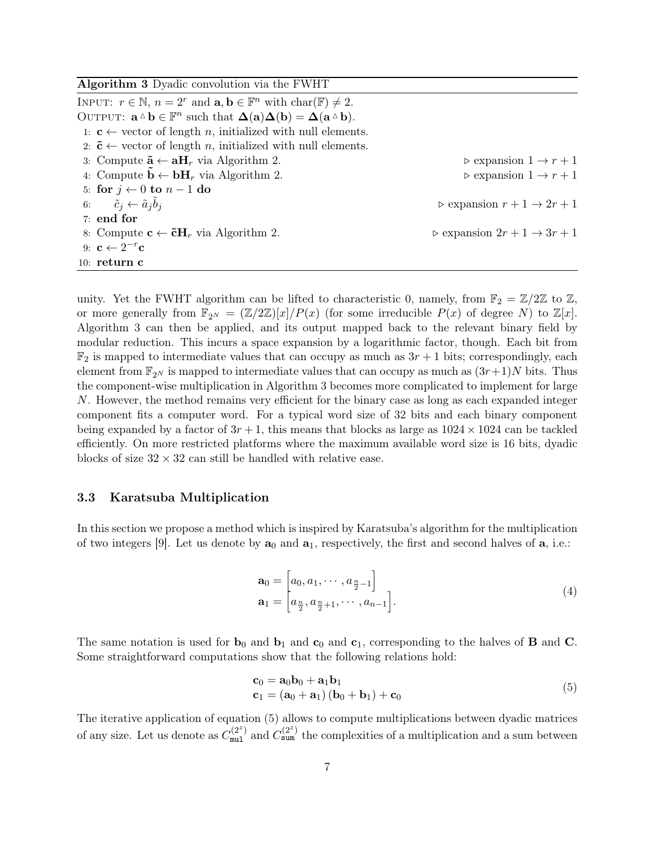| <b>Algorithm 3</b> Dyadic convolution via the FWHT                                                                                               |                                                        |
|--------------------------------------------------------------------------------------------------------------------------------------------------|--------------------------------------------------------|
| INPUT: $r \in \mathbb{N}$ , $n = 2^r$ and $\mathbf{a}, \mathbf{b} \in \mathbb{F}^n$ with $char(\mathbb{F}) \neq 2$ .                             |                                                        |
| OUTPUT: $\mathbf{a} \Delta \mathbf{b} \in \mathbb{F}^n$ such that $\Delta(\mathbf{a})\Delta(\mathbf{b}) = \Delta(\mathbf{a} \Delta \mathbf{b}).$ |                                                        |
| 1: $c \leftarrow$ vector of length <i>n</i> , initialized with null elements.                                                                    |                                                        |
| 2: $\tilde{\mathbf{c}} \leftarrow$ vector of length <i>n</i> , initialized with null elements.                                                   |                                                        |
| 3: Compute $\tilde{\mathbf{a}} \leftarrow \mathbf{a} \mathbf{H}_r$ via Algorithm 2.                                                              | $\triangleright$ expansion $1 \rightarrow r+1$         |
| 4: Compute $\ddot{\mathbf{b}} \leftarrow \mathbf{b} \mathbf{H}_r$ via Algorithm 2.                                                               | $\triangleright$ expansion $1 \rightarrow r+1$         |
| 5: for $j \leftarrow 0$ to $n-1$ do                                                                                                              |                                                        |
| 6: $\tilde{c}_i \leftarrow \tilde{a}_i \tilde{b}_i$                                                                                              | $\triangleright$ expansion $r+1 \rightarrow 2r+1$      |
| $7:$ end for                                                                                                                                     |                                                        |
| 8: Compute $\mathbf{c} \leftarrow \tilde{\mathbf{c}} \mathbf{H}_r$ via Algorithm 2.                                                              | $\triangleright$ expansion $2r + 1 \rightarrow 3r + 1$ |
| 9: $\mathbf{c} \leftarrow 2^{-r} \mathbf{c}$                                                                                                     |                                                        |
| 10: $return c$                                                                                                                                   |                                                        |

unity. Yet the FWHT algorithm can be lifted to characteristic 0, namely, from  $\mathbb{F}_2 = \mathbb{Z}/2\mathbb{Z}$  to  $\mathbb{Z}$ , or more generally from  $\mathbb{F}_{2^N} = (\mathbb{Z}/2\mathbb{Z})[x]/P(x)$  (for some irreducible  $P(x)$  of degree N) to  $\mathbb{Z}[x]$ . Algorithm 3 can then be applied, and its output mapped back to the relevant binary field by modular reduction. This incurs a space expansion by a logarithmic factor, though. Each bit from  $\mathbb{F}_2$  is mapped to intermediate values that can occupy as much as  $3r + 1$  bits; correspondingly, each element from  $\mathbb{F}_{2^N}$  is mapped to intermediate values that can occupy as much as  $(3r+1)N$  bits. Thus the component-wise multiplication in Algorithm 3 becomes more complicated to implement for large N. However, the method remains very efficient for the binary case as long as each expanded integer component fits a computer word. For a typical word size of 32 bits and each binary component being expanded by a factor of  $3r + 1$ , this means that blocks as large as  $1024 \times 1024$  can be tackled efficiently. On more restricted platforms where the maximum available word size is 16 bits, dyadic blocks of size  $32 \times 32$  can still be handled with relative ease.

#### 3.3 Karatsuba Multiplication

In this section we propose a method which is inspired by Karatsuba's algorithm for the multiplication of two integers [9]. Let us denote by  $\mathbf{a}_0$  and  $\mathbf{a}_1$ , respectively, the first and second halves of  $\mathbf{a}$ , i.e.:

$$
\mathbf{a}_0 = \begin{bmatrix} a_0, a_1, \cdots, a_{\frac{n}{2}-1} \\ a_1 = \begin{bmatrix} a_{\frac{n}{2}}, a_{\frac{n}{2}+1}, \cdots, a_{n-1} \end{bmatrix} . \end{bmatrix} \tag{4}
$$

The same notation is used for  $\mathbf{b}_0$  and  $\mathbf{b}_1$  and  $\mathbf{c}_0$  and  $\mathbf{c}_1$ , corresponding to the halves of **B** and **C**. Some straightforward computations show that the following relations hold:

$$
\begin{aligned} \mathbf{c}_0 &= \mathbf{a}_0 \mathbf{b}_0 + \mathbf{a}_1 \mathbf{b}_1 \\ \mathbf{c}_1 &= (\mathbf{a}_0 + \mathbf{a}_1)(\mathbf{b}_0 + \mathbf{b}_1) + \mathbf{c}_0 \end{aligned} \tag{5}
$$

The iterative application of equation (5) allows to compute multiplications between dyadic matrices of any size. Let us denote as  $C_{\text{mul}}^{(2^z)}$  and  $C_{\text{sum}}^{(2^z)}$  the complexities of a multiplication and a sum between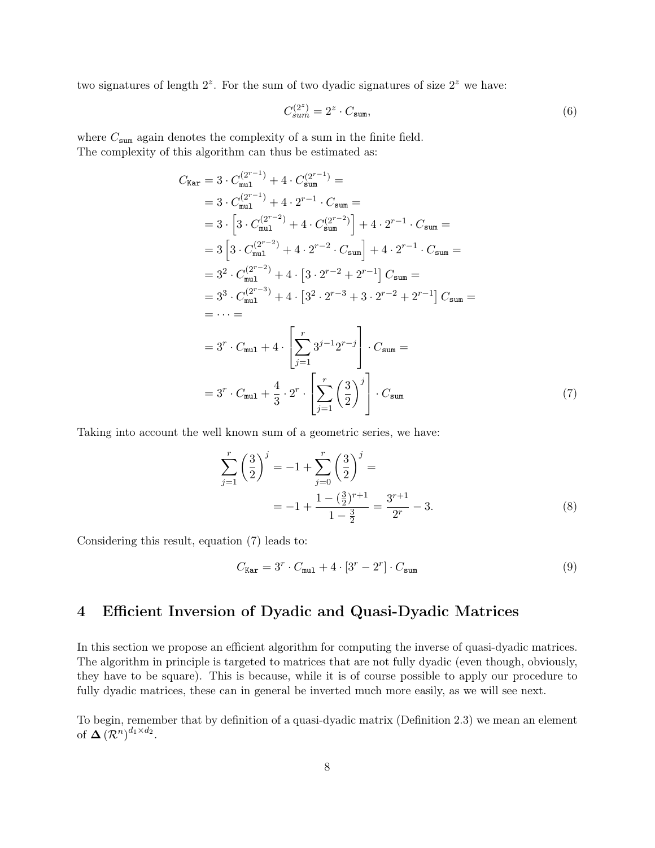two signatures of length  $2^z$ . For the sum of two dyadic signatures of size  $2^z$  we have:

$$
C_{sum}^{(2^z)} = 2^z \cdot C_{\text{sum}},\tag{6}
$$

where  $C_{\text{sum}}$  again denotes the complexity of a sum in the finite field. The complexity of this algorithm can thus be estimated as:

$$
C_{\text{Kar}} = 3 \cdot C_{\text{mul}}^{(2^{r-1})} + 4 \cdot C_{\text{sum}}^{(2^{r-1})} =
$$
  
\n
$$
= 3 \cdot C_{\text{mul}}^{(2^{r-1})} + 4 \cdot 2^{r-1} \cdot C_{\text{sum}} =
$$
  
\n
$$
= 3 \cdot \left[ 3 \cdot C_{\text{mul}}^{(2^{r-2})} + 4 \cdot C_{\text{sum}}^{(2^{r-2})} \right] + 4 \cdot 2^{r-1} \cdot C_{\text{sum}} =
$$
  
\n
$$
= 3 \left[ 3 \cdot C_{\text{mul}}^{(2^{r-2})} + 4 \cdot 2^{r-2} \cdot C_{\text{sum}} \right] + 4 \cdot 2^{r-1} \cdot C_{\text{sum}} =
$$
  
\n
$$
= 3^2 \cdot C_{\text{mul}}^{(2^{r-2})} + 4 \cdot \left[ 3 \cdot 2^{r-2} + 2^{r-1} \right] C_{\text{sum}} =
$$
  
\n
$$
= 3^3 \cdot C_{\text{mul}}^{(2^{r-3})} + 4 \cdot \left[ 3^2 \cdot 2^{r-3} + 3 \cdot 2^{r-2} + 2^{r-1} \right] C_{\text{sum}} =
$$
  
\n
$$
= \cdots =
$$
  
\n
$$
= 3^r \cdot C_{\text{mul}} + 4 \cdot \left[ \sum_{j=1}^r 3^{j-1} 2^{r-j} \right] \cdot C_{\text{sum}} =
$$
  
\n
$$
= 3^r \cdot C_{\text{mul}} + \frac{4}{3} \cdot 2^r \cdot \left[ \sum_{j=1}^r \left( \frac{3}{2} \right)^j \right] \cdot C_{\text{sum}} \tag{7}
$$

Taking into account the well known sum of a geometric series, we have:

$$
\sum_{j=1}^{r} \left(\frac{3}{2}\right)^j = -1 + \sum_{j=0}^{r} \left(\frac{3}{2}\right)^j =
$$
  
= -1 +  $\frac{1 - \left(\frac{3}{2}\right)^{r+1}}{1 - \frac{3}{2}} = \frac{3^{r+1}}{2^r} - 3.$  (8)

Considering this result, equation (7) leads to:

$$
C_{\text{Kar}} = 3^r \cdot C_{\text{mul}} + 4 \cdot [3^r - 2^r] \cdot C_{\text{sum}} \tag{9}
$$

# 4 Efficient Inversion of Dyadic and Quasi-Dyadic Matrices

In this section we propose an efficient algorithm for computing the inverse of quasi-dyadic matrices. The algorithm in principle is targeted to matrices that are not fully dyadic (even though, obviously, they have to be square). This is because, while it is of course possible to apply our procedure to fully dyadic matrices, these can in general be inverted much more easily, as we will see next.

To begin, remember that by definition of a quasi-dyadic matrix (Definition 2.3) we mean an element of  $\Delta (\mathcal{R}^n)^{d_1 \times d_2}$ .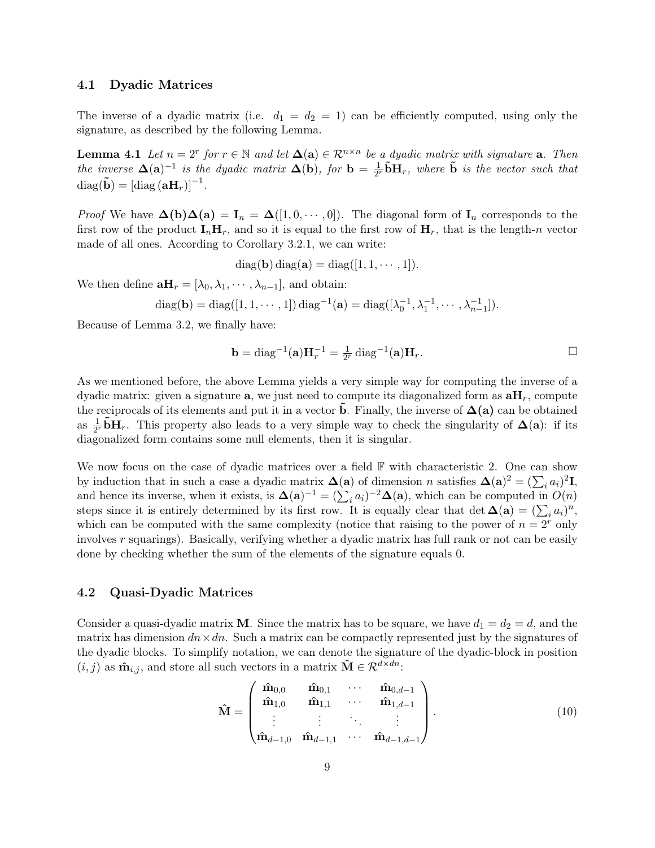#### 4.1 Dyadic Matrices

The inverse of a dyadic matrix (i.e.  $d_1 = d_2 = 1$ ) can be efficiently computed, using only the signature, as described by the following Lemma.

**Lemma 4.1** Let  $n = 2^r$  for  $r \in \mathbb{N}$  and let  $\Delta(a) \in \mathbb{R}^{n \times n}$  be a dyadic matrix with signature **a**. Then the inverse  $\Delta(\mathbf{a})^{-1}$  is the dyadic matrix  $\Delta(\mathbf{b})$ , for  $\mathbf{b} = \frac{1}{2i}$  $\frac{1}{2^{r}}\tilde{\mathbf{b}}\mathbf{H}_{r}$ , where  $\tilde{\mathbf{b}}$  is the vector such that  $\text{diag}(\tilde{\mathbf{b}}) = [\text{diag}(\mathbf{a}\mathbf{H}_r)]^{-1}.$ 

*Proof* We have  $\Delta(b)\Delta(a) = I_n = \Delta([1, 0, \cdots, 0])$ . The diagonal form of  $I_n$  corresponds to the first row of the product  $I_n$ **H**<sub>r</sub>, and so it is equal to the first row of **H**<sub>r</sub>, that is the length-n vector made of all ones. According to Corollary 3.2.1, we can write:

 $diag(\mathbf{b}) diag(\mathbf{a}) = diag([1, 1, \cdots, 1]).$ 

We then define  $\mathbf{a}H_r = [\lambda_0, \lambda_1, \cdots, \lambda_{n-1}]$ , and obtain:

diag(**b**) = diag([1, 1, ..., 1]) diag<sup>-1</sup>(**a**) = diag(
$$
[\lambda_0^{-1}, \lambda_1^{-1}, ..., \lambda_{n-1}^{-1}])
$$
.

Because of Lemma 3.2, we finally have:

$$
\mathbf{b} = \text{diag}^{-1}(\mathbf{a})\mathbf{H}_r^{-1} = \frac{1}{2^r} \text{diag}^{-1}(\mathbf{a})\mathbf{H}_r.
$$

As we mentioned before, the above Lemma yields a very simple way for computing the inverse of a dyadic matrix: given a signature **a**, we just need to compute its diagonalized form as  $\mathbf{a}H_r$ , compute the reciprocals of its elements and put it in a vector **b**. Finally, the inverse of  $\Delta$ (a) can be obtained as  $\frac{1}{2^r}$ **bH**<sub>r</sub>. This property also leads to a very simple way to check the singularity of  $\Delta$ (a): if its diagonalized form contains some null elements, then it is singular.

We now focus on the case of dyadic matrices over a field  $\mathbb F$  with characteristic 2. One can show by induction that in such a case a dyadic matrix  $\Delta(\mathbf{a})$  of dimension n satisfies  $\Delta(\mathbf{a})^2 = (\sum_i a_i)^2 \mathbf{I}$ , and hence its inverse, when it exists, is  $\mathbf{\Delta}(\mathbf{a})^{-1} = (\sum_i a_i)^{-2} \mathbf{\Delta}(\mathbf{a})$ , which can be computed in  $O(n)$ steps since it is entirely determined by its first row. It is equally clear that det  $\Delta(\mathbf{a}) = (\sum_i a_i)^n$ , which can be computed with the same complexity (notice that raising to the power of  $n = 2<sup>r</sup>$  only involves r squarings). Basically, verifying whether a dyadic matrix has full rank or not can be easily done by checking whether the sum of the elements of the signature equals 0.

#### 4.2 Quasi-Dyadic Matrices

Consider a quasi-dyadic matrix **M**. Since the matrix has to be square, we have  $d_1 = d_2 = d$ , and the matrix has dimension  $dn \times dn$ . Such a matrix can be compactly represented just by the signatures of the dyadic blocks. To simplify notation, we can denote the signature of the dyadic-block in position  $(i, j)$  as  $\hat{\mathbf{m}}_{i,j}$ , and store all such vectors in a matrix  $\hat{\mathbf{M}} \in \mathcal{R}^{d \times dn}$ .

$$
\hat{\mathbf{M}} = \begin{pmatrix} \hat{\mathbf{m}}_{0,0} & \hat{\mathbf{m}}_{0,1} & \cdots & \hat{\mathbf{m}}_{0,d-1} \\ \hat{\mathbf{m}}_{1,0} & \hat{\mathbf{m}}_{1,1} & \cdots & \hat{\mathbf{m}}_{1,d-1} \\ \vdots & \vdots & \ddots & \vdots \\ \hat{\mathbf{m}}_{d-1,0} & \hat{\mathbf{m}}_{d-1,1} & \cdots & \hat{\mathbf{m}}_{d-1,d-1} \end{pmatrix}.
$$
 (10)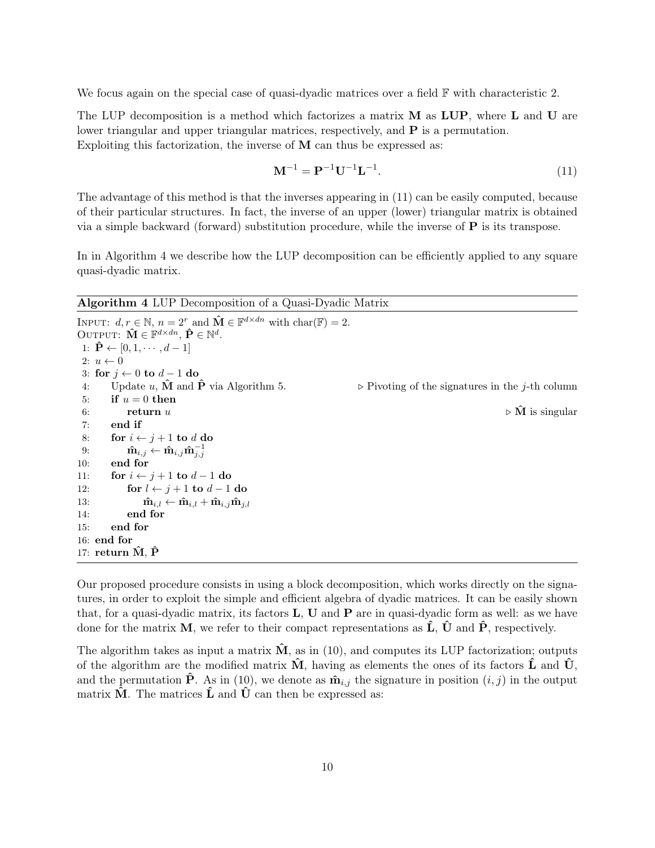We focus again on the special case of quasi-dyadic matrices over a field  $\mathbb F$  with characteristic 2.

The LUP decomposition is a method which factorizes a matrix  $M$  as LUP, where L and U are lower triangular and upper triangular matrices, respectively, and P is a permutation. Exploiting this factorization, the inverse of  $M$  can thus be expressed as:

$$
\mathbf{M}^{-1} = \mathbf{P}^{-1} \mathbf{U}^{-1} \mathbf{L}^{-1}.
$$
 (11)

The advantage of this method is that the inverses appearing in (11) can be easily computed, because of their particular structures. In fact, the inverse of an upper (lower) triangular matrix is obtained via a simple backward (forward) substitution procedure, while the inverse of  $P$  is its transpose.

In in Algorithm 4 we describe how the LUP decomposition can be efficiently applied to any square quasi-dyadic matrix.

Algorithm 4 LUP Decomposition of a Quasi-Dyadic Matrix

```
INPUT: d, r \in \mathbb{N}, n = 2^r and \hat{\mathbf{M}} \in \mathbb{F}^{d \times dn} with \text{char}(\mathbb{F}) = 2.
OUTPUT: \hat{\mathbf{M}} \in \mathbb{F}^{d \times dn}, \hat{\mathbf{P}} \in \mathbb{N}^d.
 1: \hat{\mathbf{P}} \leftarrow [0, 1, \cdots, d-1]2: u \leftarrow 03: for i \leftarrow 0 to d-1 do
 4: Update u, \hat{\mathbf{M}} and \hat{\mathbf{P}} via Algorithm 5. \triangleright Pivoting of the signatures in the j-th column
 5: if u = 0 then
 6: return u . The set of \hat{M} is singular to \hat{M} is singular to \hat{M} is singular
 7: end if
 8: for i \leftarrow j + 1 to d do
  9: \mathbf{\hat{m}}_{i,j} \leftarrow \mathbf{\hat{m}}_{i,j} \mathbf{\hat{m}}_{j,j}^{-1}10: end for
11: for i \leftarrow j + 1 to d - 1 do
12: for l \leftarrow j + 1 to d - 1 do
13: \mathbf{\hat{m}}_{i,l} \leftarrow \mathbf{\hat{m}}_{i,l} + \mathbf{\hat{m}}_{i,j} \mathbf{\hat{m}}_{j,l}14: end for
15: end for
16: end for
17: return \hat{M}, \hat{P}
```
Our proposed procedure consists in using a block decomposition, which works directly on the signatures, in order to exploit the simple and efficient algebra of dyadic matrices. It can be easily shown that, for a quasi-dyadic matrix, its factors  $L$ , U and P are in quasi-dyadic form as well: as we have done for the matrix M, we refer to their compact representations as  $\hat{\mathbf{L}}$ ,  $\hat{\mathbf{U}}$  and  $\hat{\mathbf{P}}$ , respectively.

The algorithm takes as input a matrix  $\dot{M}$ , as in (10), and computes its LUP factorization; outputs of the algorithm are the modified matrix  $\tilde{M}$ , having as elements the ones of its factors  $\tilde{L}$  and  $\tilde{U}$ , and the permutation  $\hat{\mathbf{P}}$ . As in (10), we denote as  $\hat{\mathbf{m}}_{i,j}$  the signature in position  $(i, j)$  in the output matrix  $\hat{M}$ . The matrices  $\hat{L}$  and  $\hat{U}$  can then be expressed as: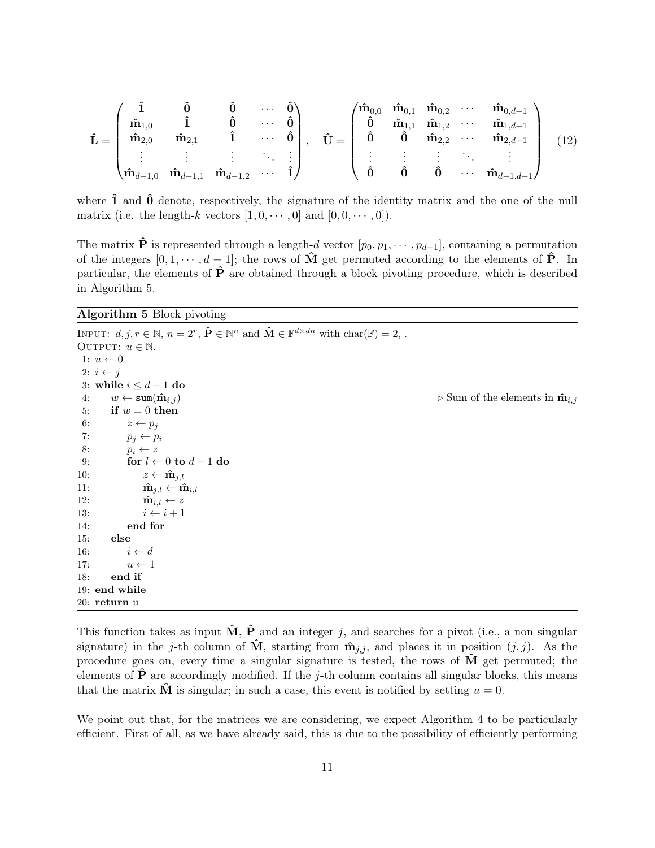$$
\hat{\mathbf{L}} = \begin{pmatrix}\n\hat{\mathbf{n}} & \hat{\mathbf{0}} & \hat{\mathbf{0}} & \cdots & \hat{\mathbf{0}} \\
\hat{\mathbf{m}}_{1,0} & \hat{\mathbf{1}} & \hat{\mathbf{0}} & \cdots & \hat{\mathbf{0}} \\
\hat{\mathbf{m}}_{2,0} & \hat{\mathbf{m}}_{2,1} & \hat{\mathbf{1}} & \cdots & \hat{\mathbf{0}} \\
\vdots & \vdots & \vdots & \ddots & \vdots \\
\hat{\mathbf{m}}_{d-1,0} & \hat{\mathbf{m}}_{d-1,1} & \hat{\mathbf{m}}_{d-1,2} & \cdots & \hat{\mathbf{1}}\n\end{pmatrix}, \quad\n\hat{\mathbf{U}} = \begin{pmatrix}\n\hat{\mathbf{m}}_{0,0} & \hat{\mathbf{m}}_{0,1} & \hat{\mathbf{m}}_{0,2} & \cdots & \hat{\mathbf{m}}_{0,d-1} \\
\hat{\mathbf{0}} & \hat{\mathbf{0}} & \hat{\mathbf{m}}_{1,2} & \cdots & \hat{\mathbf{m}}_{2,d-1} \\
\hat{\mathbf{0}} & \hat{\mathbf{0}} & \hat{\mathbf{0}} & \cdots & \hat{\mathbf{m}}_{d-1,d-1}\n\end{pmatrix}
$$
\n(12)

where  $\hat{1}$  and  $\hat{0}$  denote, respectively, the signature of the identity matrix and the one of the null matrix (i.e. the length-k vectors  $[1, 0, \cdots, 0]$  and  $[0, 0, \cdots, 0]$ ).

The matrix  $\hat{\mathbf{P}}$  is represented through a length-d vector  $[p_0, p_1, \dots, p_{d-1}]$ , containing a permutation of the integers  $[0, 1, \dots, d-1]$ ; the rows of  $\hat{M}$  get permuted according to the elements of  $\hat{P}$ . In particular, the elements of  $\hat{P}$  are obtained through a block pivoting procedure, which is described in Algorithm 5.

#### Algorithm 5 Block pivoting

INPUT:  $d, j, r \in \mathbb{N}, n = 2^r, \hat{\mathbf{P}} \in \mathbb{N}^n$  and  $\hat{\mathbf{M}} \in \mathbb{F}^{d \times dn}$  with  $char(\mathbb{F}) = 2$ ,. OUTPUT:  $u \in \mathbb{N}$ . 1:  $u \leftarrow 0$ 2:  $i \leftarrow j$ 3: while  $i \leq d-1$  do 4:  $w \leftarrow \text{sum}(\hat{\mathbf{m}}_{i,j})$   $\triangleright$  Sum of the elements in  $\hat{\mathbf{m}}_{i,j}$ 5: if  $w = 0$  then 6:  $z \leftarrow p_j$ 7:  $p_i \leftarrow p_i$ 8:  $p_i \leftarrow z$ 9: for  $l \leftarrow 0$  to  $d-1$  do 10:  $z \leftarrow \hat{\mathbf{m}}_{j,l}$ 11:  $\mathbf{\hat{m}}_{j,l} \leftarrow \mathbf{\hat{m}}_{i,l}$ 12:  $\mathbf{\hat{m}}_{i,l} \leftarrow z$ 13:  $i \leftarrow i + 1$ 14: end for 15: else 16:  $i \leftarrow d$ 17:  $u \leftarrow 1$ 18: end if 19: end while 20: return u

This function takes as input  $\hat{M}$ ,  $\hat{P}$  and an integer j, and searches for a pivot (i.e., a non singular signature) in the j-th column of  $\tilde{M}$ , starting from  $\hat{m}_{j,i}$ , and places it in position  $(j, j)$ . As the procedure goes on, every time a singular signature is tested, the rows of  $\bf{M}$  get permuted; the elements of  $\hat{P}$  are accordingly modified. If the j-th column contains all singular blocks, this means that the matrix  $\tilde{M}$  is singular; in such a case, this event is notified by setting  $u = 0$ .

We point out that, for the matrices we are considering, we expect Algorithm 4 to be particularly efficient. First of all, as we have already said, this is due to the possibility of efficiently performing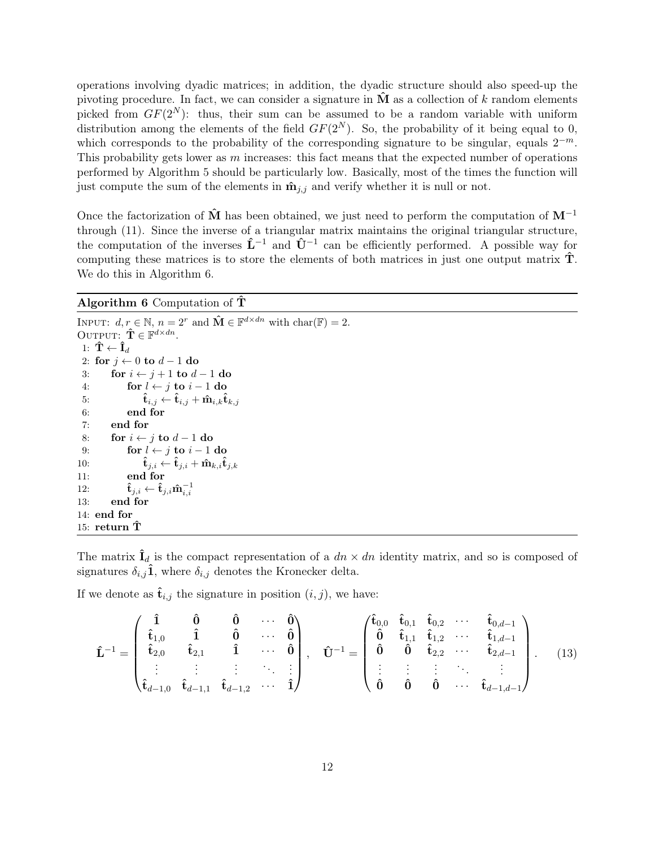operations involving dyadic matrices; in addition, the dyadic structure should also speed-up the pivoting procedure. In fact, we can consider a signature in  $\hat{M}$  as a collection of k random elements picked from  $GF(2^N)$ : thus, their sum can be assumed to be a random variable with uniform distribution among the elements of the field  $GF(2^N)$ . So, the probability of it being equal to 0, which corresponds to the probability of the corresponding signature to be singular, equals  $2^{-m}$ . This probability gets lower as  $m$  increases: this fact means that the expected number of operations performed by Algorithm 5 should be particularly low. Basically, most of the times the function will just compute the sum of the elements in  $\hat{\mathbf{m}}_{j,j}$  and verify whether it is null or not.

Once the factorization of  $\hat{M}$  has been obtained, we just need to perform the computation of  $M^{-1}$ through (11). Since the inverse of a triangular matrix maintains the original triangular structure, the computation of the inverses  $\hat{L}^{-1}$  and  $\hat{U}^{-1}$  can be efficiently performed. A possible way for computing these matrices is to store the elements of both matrices in just one output matrix  $\hat{\mathbf{T}}$ . We do this in Algorithm 6.

Algorithm 6 Computation of  $\hat{\mathbf{T}}$ 

INPUT:  $d, r \in \mathbb{N}, n = 2^r \text{ and } \hat{\mathbf{M}} \in \mathbb{F}^{d \times dn}$  with  $\text{char}(\mathbb{F}) = 2$ . OUTPUT:  $\hat{\mathbf{T}} \in \mathbb{F}^{d \times dn}$ . 1:  $\mathbf{\hat{T}} \leftarrow \mathbf{\hat{I}}_d$ 2: for  $j \leftarrow 0$  to  $d-1$  do 3: for  $i \leftarrow j + 1$  to  $d - 1$  do 4: for  $l \leftarrow j$  to  $i - 1$  do 5:  $\mathbf{\hat{t}}_{i,j} \leftarrow \mathbf{\hat{t}}_{i,j} + \mathbf{\hat{m}}_{i,k} \mathbf{\hat{t}}_{k,j}$ 6: end for 7: end for 8: for  $i \leftarrow j$  to  $d-1$  do 9: for  $l \leftarrow j$  to  $i - 1$  do 10:  $\hat{\mathbf{t}}_{j,i} \leftarrow \hat{\mathbf{t}}_{j,i} + \hat{\mathbf{m}}_{k,i} \hat{\mathbf{t}}_{j,k}$ 11: end for 12:  $\mathbf{\hat{t}}_{j,i} \leftarrow \mathbf{\hat{t}}_{j,i} \mathbf{\hat{m}}_{i,i}^{-1}$ 13: end for 14: end for 15: return  $\tilde{T}$ 

The matrix  $\hat{\mathbf{I}}_d$  is the compact representation of a  $dn \times dn$  identity matrix, and so is composed of signatures  $\delta_{i,j}$ **î**, where  $\delta_{i,j}$  denotes the Kronecker delta.

If we denote as  $\hat{\mathbf{t}}_{i,j}$  the signature in position  $(i, j)$ , we have:

$$
\hat{\mathbf{L}}^{-1} = \begin{pmatrix} \hat{\mathbf{i}} & \hat{\mathbf{0}} & \hat{\mathbf{0}} & \cdots & \hat{\mathbf{0}} \\ \hat{\mathbf{t}}_{1,0} & \hat{\mathbf{i}} & \hat{\mathbf{0}} & \cdots & \hat{\mathbf{0}} \\ \hat{\mathbf{t}}_{2,0} & \hat{\mathbf{t}}_{2,1} & \hat{\mathbf{i}} & \cdots & \hat{\mathbf{0}} \\ \vdots & \vdots & \vdots & \ddots & \vdots \\ \hat{\mathbf{t}}_{d-1,0} & \hat{\mathbf{t}}_{d-1,1} & \hat{\mathbf{t}}_{d-1,2} & \cdots & \hat{\mathbf{t}} \end{pmatrix}, \quad \hat{\mathbf{U}}^{-1} = \begin{pmatrix} \hat{\mathbf{t}}_{0,0} & \hat{\mathbf{t}}_{0,1} & \hat{\mathbf{t}}_{0,2} & \cdots & \hat{\mathbf{t}}_{0,d-1} \\ \hat{\mathbf{0}} & \hat{\mathbf{0}} & \hat{\mathbf{t}}_{1,1} & \hat{\mathbf{t}}_{1,2} & \cdots & \hat{\mathbf{t}}_{1,d-1} \\ \hat{\mathbf{0}} & \hat{\mathbf{0}} & \hat{\mathbf{0}} & \hat{\mathbf{0}} & \cdots & \hat{\mathbf{t}}_{d-1,d-1} \end{pmatrix} . \quad (13)
$$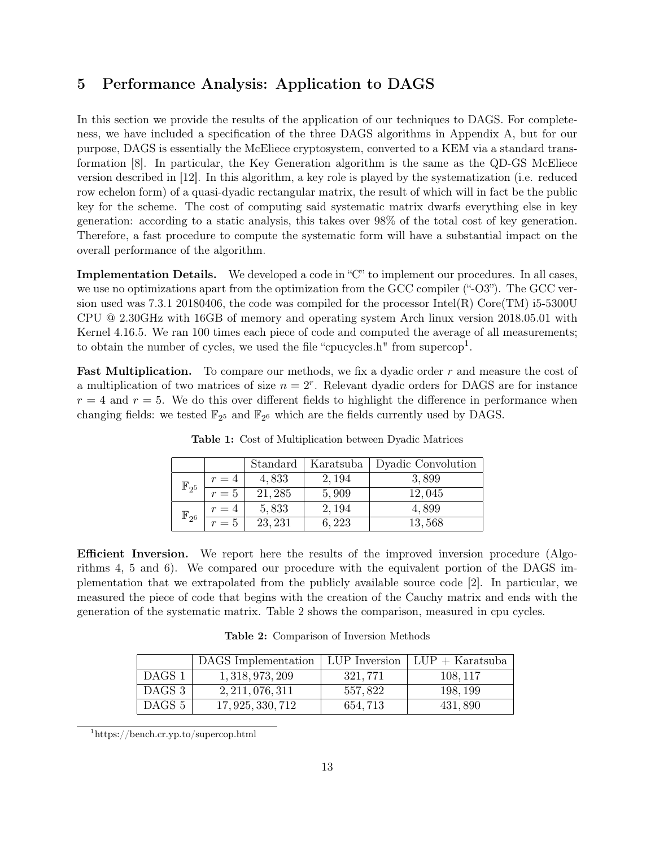# 5 Performance Analysis: Application to DAGS

In this section we provide the results of the application of our techniques to DAGS. For completeness, we have included a specification of the three DAGS algorithms in Appendix A, but for our purpose, DAGS is essentially the McEliece cryptosystem, converted to a KEM via a standard transformation [8]. In particular, the Key Generation algorithm is the same as the QD-GS McEliece version described in [12]. In this algorithm, a key role is played by the systematization (i.e. reduced row echelon form) of a quasi-dyadic rectangular matrix, the result of which will in fact be the public key for the scheme. The cost of computing said systematic matrix dwarfs everything else in key generation: according to a static analysis, this takes over 98% of the total cost of key generation. Therefore, a fast procedure to compute the systematic form will have a substantial impact on the overall performance of the algorithm.

Implementation Details. We developed a code in "C" to implement our procedures. In all cases, we use no optimizations apart from the optimization from the GCC compiler ("-O3"). The GCC version used was 7.3.1 20180406, the code was compiled for the processor Intel(R) Core(TM) i5-5300U CPU @ 2.30GHz with 16GB of memory and operating system Arch linux version 2018.05.01 with Kernel 4.16.5. We ran 100 times each piece of code and computed the average of all measurements; to obtain the number of cycles, we used the file "cpucycles.h" from supercop<sup>1</sup>.

**Fast Multiplication.** To compare our methods, we fix a dyadic order  $r$  and measure the cost of a multiplication of two matrices of size  $n = 2<sup>r</sup>$ . Relevant dyadic orders for DAGS are for instance  $r = 4$  and  $r = 5$ . We do this over different fields to highlight the difference in performance when changing fields: we tested  $\mathbb{F}_{2^5}$  and  $\mathbb{F}_{2^6}$  which are the fields currently used by DAGS.

|                    |       | Standard | Karatsuba | Dyadic Convolution |
|--------------------|-------|----------|-----------|--------------------|
| $\mathbb{F}_{2^5}$ | $r=4$ | 4,833    | 2, 194    | 3,899              |
|                    | $r=5$ | 21, 285  | 5,909     | 12,045             |
| $\mathbb{F}_{2^6}$ | $r=4$ | 5,833    | 2,194     | 4,899              |
|                    | $r=5$ | 23, 231  | 6,223     | 13,568             |

Table 1: Cost of Multiplication between Dyadic Matrices

Efficient Inversion. We report here the results of the improved inversion procedure (Algorithms 4, 5 and 6). We compared our procedure with the equivalent portion of the DAGS implementation that we extrapolated from the publicly available source code [2]. In particular, we measured the piece of code that begins with the creation of the Cauchy matrix and ends with the generation of the systematic matrix. Table 2 shows the comparison, measured in cpu cycles.

Table 2: Comparison of Inversion Methods

|        | DAGS Implementation   LUP Inversion   LUP + Karatsuba |          |          |
|--------|-------------------------------------------------------|----------|----------|
| DAGS 1 | 1, 318, 973, 209                                      | 321,771  | 108, 117 |
| DAGS 3 | 2, 211, 076, 311                                      | 557,822  | 198, 199 |
| DAGS 5 | 17, 925, 330, 712                                     | 654, 713 | 431,890  |

<sup>1</sup>https://bench.cr.yp.to/supercop.html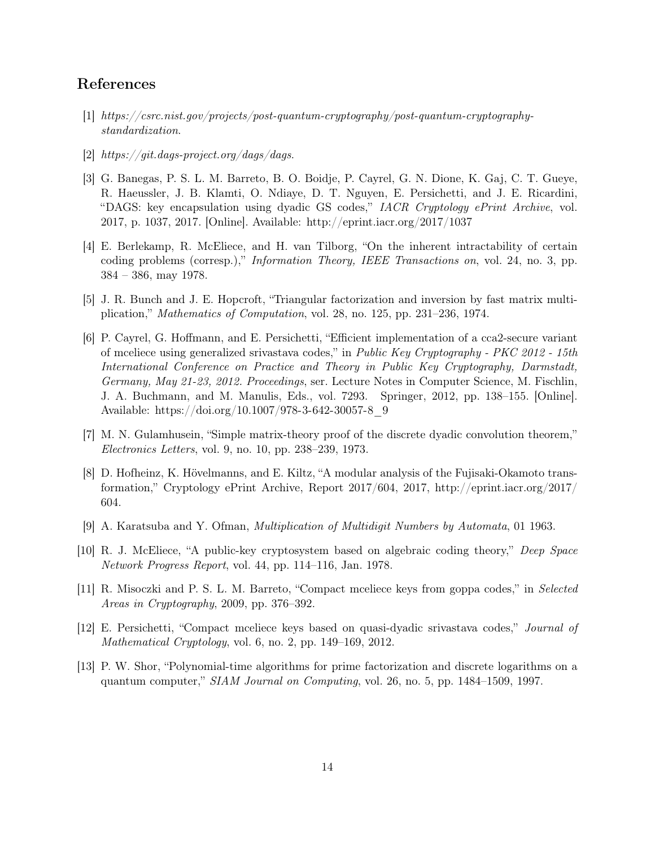# References

- [1] https://csrc.nist.gov/projects/post-quantum-cryptography/post-quantum-cryptographystandardization.
- [2] https://git.dags-project.org/dags/dags.
- [3] G. Banegas, P. S. L. M. Barreto, B. O. Boidje, P. Cayrel, G. N. Dione, K. Gaj, C. T. Gueye, R. Haeussler, J. B. Klamti, O. Ndiaye, D. T. Nguyen, E. Persichetti, and J. E. Ricardini, "DAGS: key encapsulation using dyadic GS codes," IACR Cryptology ePrint Archive, vol. 2017, p. 1037, 2017. [Online]. Available: http://eprint.iacr.org/2017/1037
- [4] E. Berlekamp, R. McEliece, and H. van Tilborg, "On the inherent intractability of certain coding problems (corresp.)," Information Theory, IEEE Transactions on, vol. 24, no. 3, pp. 384 – 386, may 1978.
- [5] J. R. Bunch and J. E. Hopcroft, "Triangular factorization and inversion by fast matrix multiplication," Mathematics of Computation, vol. 28, no. 125, pp. 231–236, 1974.
- [6] P. Cayrel, G. Hoffmann, and E. Persichetti, "Efficient implementation of a cca2-secure variant of mceliece using generalized srivastava codes," in Public Key Cryptography - PKC 2012 - 15th International Conference on Practice and Theory in Public Key Cryptography, Darmstadt, Germany, May 21-23, 2012. Proceedings, ser. Lecture Notes in Computer Science, M. Fischlin, J. A. Buchmann, and M. Manulis, Eds., vol. 7293. Springer, 2012, pp. 138–155. [Online]. Available: https://doi.org/10.1007/978-3-642-30057-8\_9
- [7] M. N. Gulamhusein, "Simple matrix-theory proof of the discrete dyadic convolution theorem," Electronics Letters, vol. 9, no. 10, pp. 238–239, 1973.
- [8] D. Hofheinz, K. Hövelmanns, and E. Kiltz, "A modular analysis of the Fujisaki-Okamoto transformation," Cryptology ePrint Archive, Report 2017/604, 2017, http://eprint.iacr.org/2017/ 604.
- [9] A. Karatsuba and Y. Ofman, Multiplication of Multidigit Numbers by Automata, 01 1963.
- [10] R. J. McEliece, "A public-key cryptosystem based on algebraic coding theory," Deep Space Network Progress Report, vol. 44, pp. 114–116, Jan. 1978.
- [11] R. Misoczki and P. S. L. M. Barreto, "Compact mceliece keys from goppa codes," in Selected Areas in Cryptography, 2009, pp. 376–392.
- [12] E. Persichetti, "Compact mceliece keys based on quasi-dyadic srivastava codes," Journal of Mathematical Cryptology, vol. 6, no. 2, pp. 149–169, 2012.
- [13] P. W. Shor, "Polynomial-time algorithms for prime factorization and discrete logarithms on a quantum computer," SIAM Journal on Computing, vol. 26, no. 5, pp. 1484–1509, 1997.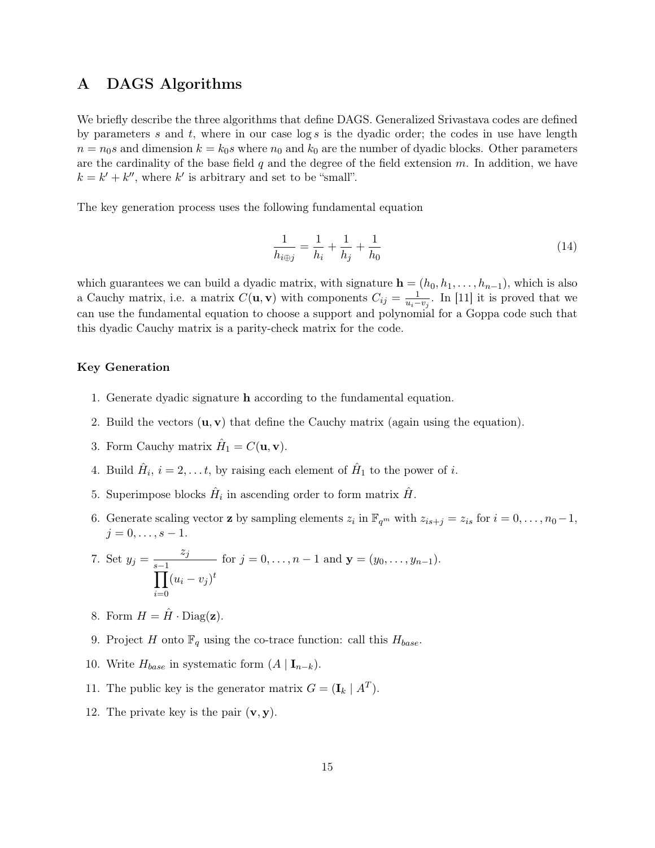## A DAGS Algorithms

We briefly describe the three algorithms that define DAGS. Generalized Srivastava codes are defined by parameters s and t, where in our case  $\log s$  is the dyadic order; the codes in use have length  $n = n<sub>0</sub>s$  and dimension  $k = k<sub>0</sub>s$  where  $n<sub>0</sub>$  and  $k<sub>0</sub>$  are the number of dyadic blocks. Other parameters are the cardinality of the base field  $q$  and the degree of the field extension  $m$ . In addition, we have  $k = k' + k''$ , where k' is arbitrary and set to be "small".

The key generation process uses the following fundamental equation

$$
\frac{1}{h_{i\oplus j}} = \frac{1}{h_i} + \frac{1}{h_j} + \frac{1}{h_0}
$$
\n(14)

which guarantees we can build a dyadic matrix, with signature  $\mathbf{h} = (h_0, h_1, \ldots, h_{n-1})$ , which is also a Cauchy matrix, i.e. a matrix  $C(\mathbf{u}, \mathbf{v})$  with components  $C_{ij} = \frac{1}{u_i - v_j}$ . In [11] it is proved that we can use the fundamental equation to choose a support and polynomial for a Goppa code such that this dyadic Cauchy matrix is a parity-check matrix for the code.

#### Key Generation

- 1. Generate dyadic signature h according to the fundamental equation.
- 2. Build the vectors  $(\mathbf{u}, \mathbf{v})$  that define the Cauchy matrix (again using the equation).
- 3. Form Cauchy matrix  $\hat{H}_1 = C(\mathbf{u}, \mathbf{v}).$
- 4. Build  $\hat{H}_i$ ,  $i = 2, \ldots t$ , by raising each element of  $\hat{H}_1$  to the power of i.
- 5. Superimpose blocks  $\hat{H}_i$  in ascending order to form matrix  $\hat{H}$ .
- 6. Generate scaling vector **z** by sampling elements  $z_i$  in  $\mathbb{F}_{q^m}$  with  $z_{is+j} = z_{is}$  for  $i = 0, \ldots, n_0-1$ ,  $j = 0, \ldots, s - 1.$

7. Set 
$$
y_j = \frac{z_j}{\prod_{i=0}^{s-1} (u_i - v_j)^t}
$$
 for  $j = 0, ..., n-1$  and  $\mathbf{y} = (y_0, ..., y_{n-1})$ .

- 8. Form  $H = \hat{H} \cdot \text{Diag}(\mathbf{z})$ .
- 9. Project H onto  $\mathbb{F}_q$  using the co-trace function: call this  $H_{base}$ .
- 10. Write  $H_{base}$  in systematic form  $(A | I_{n-k})$ .
- 11. The public key is the generator matrix  $G = (\mathbf{I}_k | A^T)$ .
- 12. The private key is the pair  $(v, y)$ .